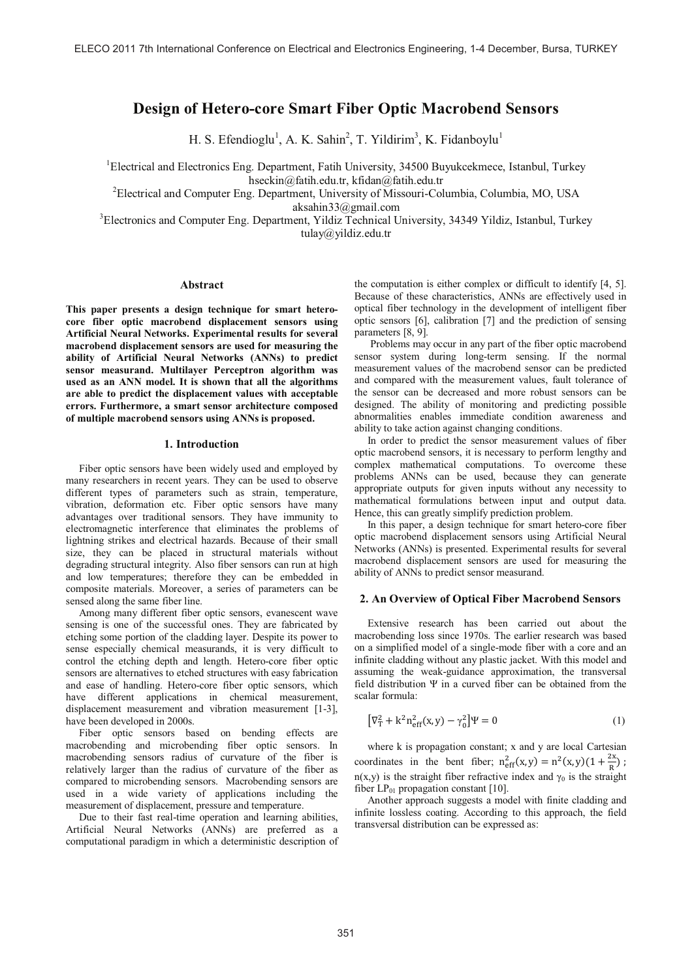# **Design of Hetero-core Smart Fiber Optic Macrobend Sensors**

H. S. Efendioglu<sup>1</sup>, A. K. Sahin<sup>2</sup>, T. Yildirim<sup>3</sup>, K. Fidanboylu<sup>1</sup>

<sup>1</sup>Electrical and Electronics Eng. Department, Fatih University, 34500 Buyukcekmece, Istanbul, Turkey hseckin@fatih.edu.tr, kfidan@fatih.edu.tr

<sup>2</sup>Electrical and Computer Eng. Department, University of Missouri-Columbia, Columbia, MO, USA aksahin33@gmail.com

<sup>3</sup>Electronics and Computer Eng. Department, Yildiz Technical University, 34349 Yildiz, Istanbul, Turkey tulay@yildiz.edu.tr

## **Abstract**

**This paper presents a design technique for smart heterocore fiber optic macrobend displacement sensors using Artificial Neural Networks. Experimental results for several macrobend displacement sensors are used for measuring the ability of Artificial Neural Networks (ANNs) to predict sensor measurand. Multilayer Perceptron algorithm was used as an ANN model. It is shown that all the algorithms are able to predict the displacement values with acceptable errors. Furthermore, a smart sensor architecture composed of multiple macrobend sensors using ANNs is proposed.**

#### **1. Introduction**

Fiber optic sensors have been widely used and employed by many researchers in recent years. They can be used to observe different types of parameters such as strain, temperature, vibration, deformation etc. Fiber optic sensors have many advantages over traditional sensors. They have immunity to electromagnetic interference that eliminates the problems of lightning strikes and electrical hazards. Because of their small size, they can be placed in structural materials without degrading structural integrity. Also fiber sensors can run at high and low temperatures; therefore they can be embedded in composite materials. Moreover, a series of parameters can be sensed along the same fiber line.

Among many different fiber optic sensors, evanescent wave sensing is one of the successful ones. They are fabricated by etching some portion of the cladding layer. Despite its power to sense especially chemical measurands, it is very difficult to control the etching depth and length. Hetero-core fiber optic sensors are alternatives to etched structures with easy fabrication and ease of handling. Hetero-core fiber optic sensors, which have different applications in chemical measurement, displacement measurement and vibration measurement [1-3], have been developed in 2000s.

Fiber optic sensors based on bending effects are macrobending and microbending fiber optic sensors. In macrobending sensors radius of curvature of the fiber is relatively larger than the radius of curvature of the fiber as compared to microbending sensors. Macrobending sensors are used in a wide variety of applications including the measurement of displacement, pressure and temperature.

Due to their fast real-time operation and learning abilities, Artificial Neural Networks (ANNs) are preferred as a computational paradigm in which a deterministic description of the computation is either complex or difficult to identify [4, 5]. Because of these characteristics, ANNs are effectively used in optical fiber technology in the development of intelligent fiber optic sensors [6], calibration [7] and the prediction of sensing parameters [8, 9].

 Problems may occur in any part of the fiber optic macrobend sensor system during long-term sensing. If the normal measurement values of the macrobend sensor can be predicted and compared with the measurement values, fault tolerance of the sensor can be decreased and more robust sensors can be designed. The ability of monitoring and predicting possible abnormalities enables immediate condition awareness and ability to take action against changing conditions.

In order to predict the sensor measurement values of fiber optic macrobend sensors, it is necessary to perform lengthy and complex mathematical computations. To overcome these problems ANNs can be used, because they can generate appropriate outputs for given inputs without any necessity to mathematical formulations between input and output data. Hence, this can greatly simplify prediction problem.

In this paper, a design technique for smart hetero-core fiber optic macrobend displacement sensors using Artificial Neural Networks (ANNs) is presented. Experimental results for several macrobend displacement sensors are used for measuring the ability of ANNs to predict sensor measurand.

#### **2. An Overview of Optical Fiber Macrobend Sensors**

Extensive research has been carried out about the macrobending loss since 1970s. The earlier research was based on a simplified model of a single-mode fiber with a core and an infinite cladding without any plastic jacket. With this model and assuming the weak-guidance approximation, the transversal field distribution Ψ in a curved fiber can be obtained from the scalar formula:

$$
[\nabla_{\rm T}^2 + k^2 n_{\rm eff}^2(x, y) - \gamma_0^2] \Psi = 0 \tag{1}
$$

where k is propagation constant; x and y are local Cartesian coordinates in the bent fiber;  $n_{\text{eff}}^2(x, y) = n^2(x, y)(1 + \frac{2x}{R})$ ; n(x,y) is the straight fiber refractive index and  $\gamma_0$  is the straight fiber  $LP_{01}$  propagation constant [10].

Another approach suggests a model with finite cladding and infinite lossless coating. According to this approach, the field transversal distribution can be expressed as: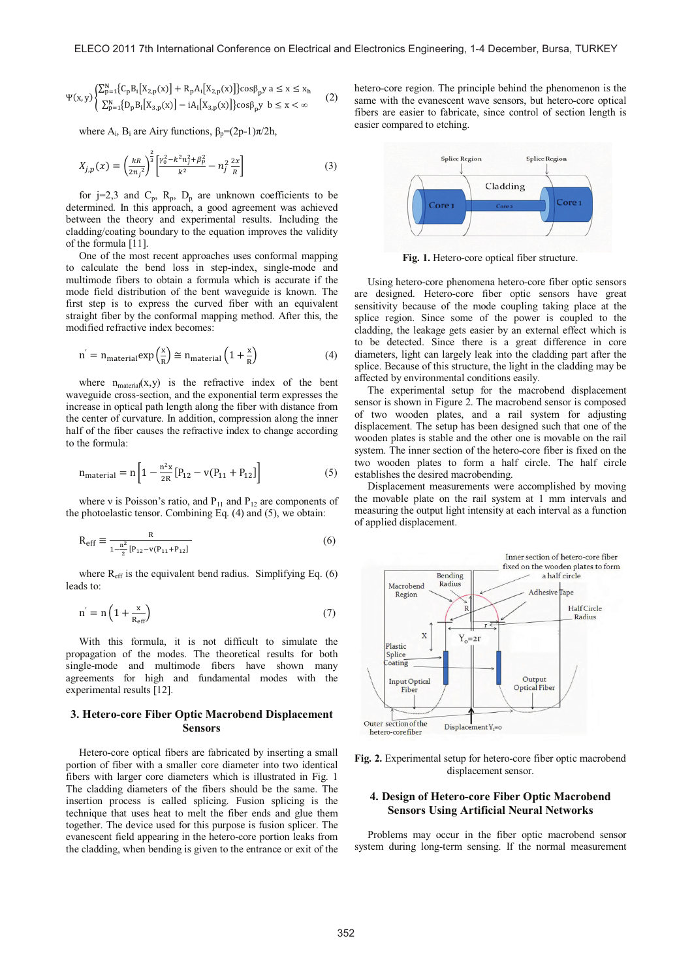$$
\Psi(x,y) \begin{cases} \sum_{p=1}^{N} \{C_p B_i[X_{2,p}(x)] + R_p A_i[X_{2,p}(x)]\} \cos \beta_p y \ a \leq x \leq x_h \\ \sum_{p=1}^{N} \{D_p B_i[X_{3,p}(x)] - i A_i[X_{3,p}(x)]\} \cos \beta_p y \ b \leq x < \infty \end{cases} \tag{2}
$$

where  $A_i$ ,  $B_i$  are Airy functions,  $\beta_p = (2p-1)\pi/2h$ ,

$$
X_{j,p}(x) = \left(\frac{kR}{2n_j^2}\right)^{\frac{2}{3}} \left[\frac{\gamma_0^2 - k^2 n_j^2 + \beta_p^2}{k^2} - n_j^2 \frac{2x}{R}\right]
$$
 (3)

for  $j=2,3$  and  $C_p$ ,  $R_p$ ,  $D_p$  are unknown coefficients to be determined. In this approach, a good agreement was achieved between the theory and experimental results. Including the cladding/coating boundary to the equation improves the validity of the formula [11].

One of the most recent approaches uses conformal mapping to calculate the bend loss in step-index, single-mode and multimode fibers to obtain a formula which is accurate if the mode field distribution of the bent waveguide is known. The first step is to express the curved fiber with an equivalent straight fiber by the conformal mapping method. After this, the modified refractive index becomes:

$$
n' = n_{\text{material}} \exp\left(\frac{x}{R}\right) \cong n_{\text{material}} \left(1 + \frac{x}{R}\right) \tag{4}
$$

where  $n_{material}(x, y)$  is the refractive index of the bent waveguide cross-section, and the exponential term expresses the increase in optical path length along the fiber with distance from the center of curvature. In addition, compression along the inner half of the fiber causes the refractive index to change according to the formula:

$$
n_{\text{material}} = n \left[ 1 - \frac{n^2 x}{2R} [P_{12} - v(P_{11} + P_{12})] \right]
$$
 (5)

where v is Poisson's ratio, and  $P_{11}$  and  $P_{12}$  are components of the photoelastic tensor. Combining Eq. (4) and (5), we obtain:

$$
R_{eff} \equiv \frac{R}{1 - \frac{n^2}{2} [P_{12} - v(P_{11} + P_{12}]} \tag{6}
$$

where  $R_{\text{eff}}$  is the equivalent bend radius. Simplifying Eq. (6) leads to:

$$
n' = n \left( 1 + \frac{x}{R_{\text{eff}}} \right) \tag{7}
$$

With this formula, it is not difficult to simulate the propagation of the modes. The theoretical results for both single-mode and multimode fibers have shown many agreements for high and fundamental modes with the experimental results [12].

## **3. Hetero-core Fiber Optic Macrobend Displacement Sensors**

Hetero-core optical fibers are fabricated by inserting a small portion of fiber with a smaller core diameter into two identical fibers with larger core diameters which is illustrated in Fig. 1 The cladding diameters of the fibers should be the same. The insertion process is called splicing. Fusion splicing is the technique that uses heat to melt the fiber ends and glue them together. The device used for this purpose is fusion splicer. The evanescent field appearing in the hetero-core portion leaks from the cladding, when bending is given to the entrance or exit of the hetero-core region. The principle behind the phenomenon is the same with the evanescent wave sensors, but hetero-core optical fibers are easier to fabricate, since control of section length is easier compared to etching.



**Fig. 1.** Hetero-core optical fiber structure.

Using hetero-core phenomena hetero-core fiber optic sensors are designed. Hetero-core fiber optic sensors have great sensitivity because of the mode coupling taking place at the splice region. Since some of the power is coupled to the cladding, the leakage gets easier by an external effect which is to be detected. Since there is a great difference in core diameters, light can largely leak into the cladding part after the splice. Because of this structure, the light in the cladding may be affected by environmental conditions easily.

The experimental setup for the macrobend displacement sensor is shown in Figure 2. The macrobend sensor is composed of two wooden plates, and a rail system for adjusting displacement. The setup has been designed such that one of the wooden plates is stable and the other one is movable on the rail system. The inner section of the hetero-core fiber is fixed on the two wooden plates to form a half circle. The half circle establishes the desired macrobending.

Displacement measurements were accomplished by moving the movable plate on the rail system at 1 mm intervals and measuring the output light intensity at each interval as a function of applied displacement.





## **4. Design of Hetero-core Fiber Optic Macrobend Sensors Using Artificial Neural Networks**

Problems may occur in the fiber optic macrobend sensor system during long-term sensing. If the normal measurement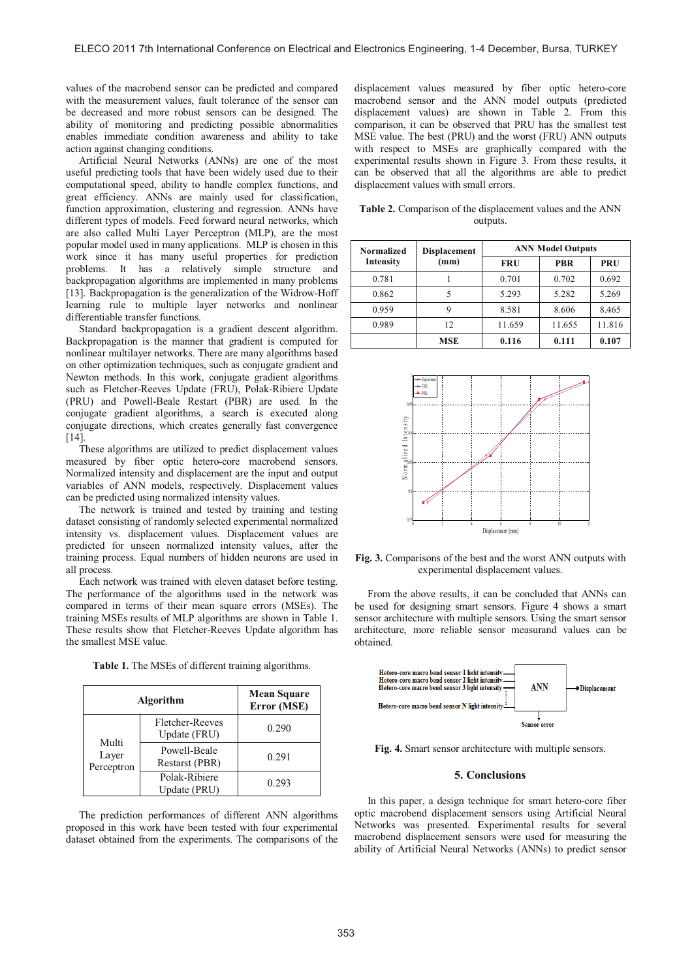values of the macrobend sensor can be predicted and compared with the measurement values, fault tolerance of the sensor can be decreased and more robust sensors can be designed. The ability of monitoring and predicting possible abnormalities enables immediate condition awareness and ability to take action against changing conditions.

Artificial Neural Networks (ANNs) are one of the most useful predicting tools that have been widely used due to their computational speed, ability to handle complex functions, and great efficiency. ANNs are mainly used for classification, function approximation, clustering and regression. ANNs have different types of models. Feed forward neural networks, which are also called Multi Layer Perceptron (MLP), are the most popular model used in many applications. MLP is chosen in this work since it has many useful properties for prediction problems. It has a relatively simple structure and backpropagation algorithms are implemented in many problems [13]. Backpropagation is the generalization of the Widrow-Hoff learning rule to multiple layer networks and nonlinear differentiable transfer functions.

Standard backpropagation is a gradient descent algorithm. Backpropagation is the manner that gradient is computed for nonlinear multilayer networks. There are many algorithms based on other optimization techniques, such as conjugate gradient and Newton methods. In this work, conjugate gradient algorithms such as Fletcher-Reeves Update (FRU), Polak-Ribiere Update (PRU) and Powell-Beale Restart (PBR) are used. In the conjugate gradient algorithms, a search is executed along conjugate directions, which creates generally fast convergence [14].

These algorithms are utilized to predict displacement values measured by fiber optic hetero-core macrobend sensors. Normalized intensity and displacement are the input and output variables of ANN models, respectively. Displacement values can be predicted using normalized intensity values.

The network is trained and tested by training and testing dataset consisting of randomly selected experimental normalized intensity vs. displacement values. Displacement values are predicted for unseen normalized intensity values, after the training process. Equal numbers of hidden neurons are used in all process.

Each network was trained with eleven dataset before testing. The performance of the algorithms used in the network was compared in terms of their mean square errors (MSEs). The training MSEs results of MLP algorithms are shown in Table 1. These results show that Fletcher-Reeves Update algorithm has the smallest MSE value.

| Algorithm                    |                                 | <b>Mean Square</b><br>Error (MSE) |  |
|------------------------------|---------------------------------|-----------------------------------|--|
| Multi<br>Layer<br>Perceptron | Fletcher-Reeves<br>Update (FRU) | 0.290                             |  |
|                              | Powell-Beale<br>Restarst (PBR)  | 0.291                             |  |
|                              | Polak-Ribiere<br>Update (PRU)   | 0.293                             |  |

**Table 1.** The MSEs of different training algorithms.

The prediction performances of different ANN algorithms proposed in this work have been tested with four experimental dataset obtained from the experiments. The comparisons of the

displacement values measured by fiber optic hetero-core macrobend sensor and the ANN model outputs (predicted displacement values) are shown in Table 2. From this comparison, it can be observed that PRU has the smallest test MSE value. The best (PRU) and the worst (FRU) ANN outputs with respect to MSEs are graphically compared with the experimental results shown in Figure 3. From these results, it can be observed that all the algorithms are able to predict displacement values with small errors.

**Table 2.** Comparison of the displacement values and the ANN outputs.

| Normalized<br>Intensity | <b>Displacement</b><br>(mm) | <b>ANN Model Outputs</b> |            |            |
|-------------------------|-----------------------------|--------------------------|------------|------------|
|                         |                             | FRU                      | <b>PBR</b> | <b>PRU</b> |
| 0.781                   |                             | 0.701                    | 0.702      | 0.692      |
| 0.862                   |                             | 5.293                    | 5.282      | 5.269      |
| 0.959                   |                             | 8.581                    | 8.606      | 8.465      |
| 0.989                   | 12                          | 11.659                   | 11.655     | 11.816     |
|                         | MSE                         | 0.116                    | 0.111      | 0.107      |



**Fig. 3.** Comparisons of the best and the worst ANN outputs with experimental displacement values.

From the above results, it can be concluded that ANNs can be used for designing smart sensors. Figure 4 shows a smart sensor architecture with multiple sensors. Using the smart sensor architecture, more reliable sensor measurand values can be obtained.



**Fig. 4.** Smart sensor architecture with multiple sensors.

#### **5. Conclusions**

In this paper, a design technique for smart hetero-core fiber optic macrobend displacement sensors using Artificial Neural Networks was presented. Experimental results for several macrobend displacement sensors were used for measuring the ability of Artificial Neural Networks (ANNs) to predict sensor